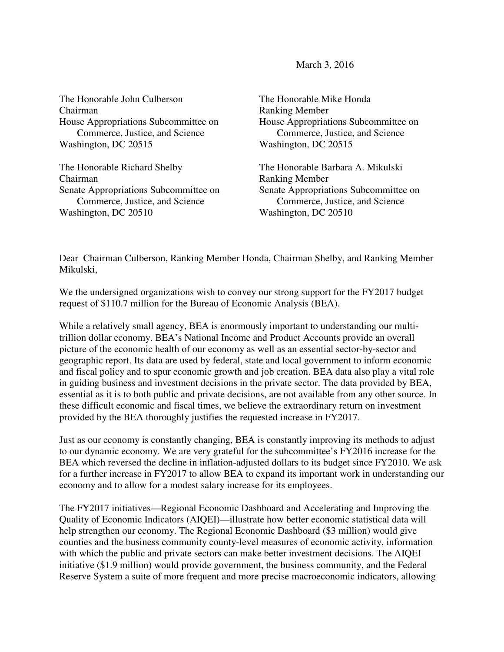March 3, 2016

The Honorable John Culberson Chairman House Appropriations Subcommittee on Commerce, Justice, and Science Washington, DC 20515

The Honorable Richard Shelby Chairman Senate Appropriations Subcommittee on Commerce, Justice, and Science Washington, DC 20510

The Honorable Mike Honda Ranking Member House Appropriations Subcommittee on Commerce, Justice, and Science Washington, DC 20515

The Honorable Barbara A. Mikulski Ranking Member Senate Appropriations Subcommittee on Commerce, Justice, and Science Washington, DC 20510

Dear Chairman Culberson, Ranking Member Honda, Chairman Shelby, and Ranking Member Mikulski,

We the undersigned organizations wish to convey our strong support for the FY2017 budget request of \$110.7 million for the Bureau of Economic Analysis (BEA).

While a relatively small agency, BEA is enormously important to understanding our multitrillion dollar economy. BEA's National Income and Product Accounts provide an overall picture of the economic health of our economy as well as an essential sector-by-sector and geographic report. Its data are used by federal, state and local government to inform economic and fiscal policy and to spur economic growth and job creation. BEA data also play a vital role in guiding business and investment decisions in the private sector. The data provided by BEA, essential as it is to both public and private decisions, are not available from any other source. In these difficult economic and fiscal times, we believe the extraordinary return on investment provided by the BEA thoroughly justifies the requested increase in FY2017.

Just as our economy is constantly changing, BEA is constantly improving its methods to adjust to our dynamic economy. We are very grateful for the subcommittee's FY2016 increase for the BEA which reversed the decline in inflation-adjusted dollars to its budget since FY2010. We ask for a further increase in FY2017 to allow BEA to expand its important work in understanding our economy and to allow for a modest salary increase for its employees.

The FY2017 initiatives—Regional Economic Dashboard and Accelerating and Improving the Quality of Economic Indicators (AIQEI)—illustrate how better economic statistical data will help strengthen our economy. The Regional Economic Dashboard (\$3 million) would give counties and the business community county-level measures of economic activity, information with which the public and private sectors can make better investment decisions. The AIQEI initiative (\$1.9 million) would provide government, the business community, and the Federal Reserve System a suite of more frequent and more precise macroeconomic indicators, allowing